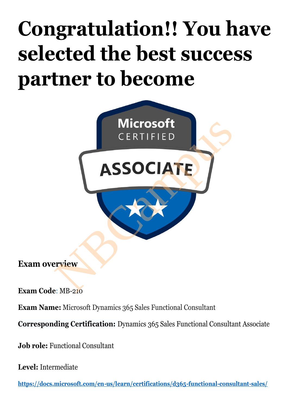# **Congratulation!! You have selected the best success partner to become**



**Exam overview**

**Exam Code**: MB-210

**Exam Name:** Microsoft Dynamics 365 Sales Functional Consultant

**Corresponding Certification:** Dynamics 365 Sales Functional Consultant Associate

**Job role:** Functional Consultant

**Level:** Intermediate

**https://docs.microsoft.com/en-us/learn/certifications/d365-functional-consultant-sales/**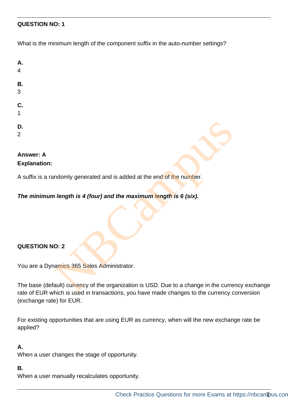#### **QUESTION NO: 1**

What is the minimum length of the component suffix in the auto-number settings?

| Α.<br>4                                                                                                                                                                    |
|----------------------------------------------------------------------------------------------------------------------------------------------------------------------------|
| В.<br>3                                                                                                                                                                    |
| C.<br>$\overline{1}$                                                                                                                                                       |
| D.<br>$\overline{2}$                                                                                                                                                       |
| <b>Answer: A</b><br><b>Explanation:</b>                                                                                                                                    |
| A suffix is a randomly generated and is added at the end of the number.                                                                                                    |
| The minimum length is 4 (four) and the maximum length is 6 (six).                                                                                                          |
|                                                                                                                                                                            |
| <b>QUESTION NO: 2</b>                                                                                                                                                      |
| You are a Dynamics 365 Sales Administrator.                                                                                                                                |
| The base (default) currency of the organization is USD. Due to a change in the curre<br>rate of EUR which is used in transactions, you have made changes to the currency o |

#### **Answer: A Explanation:**

#### *The minimum length is 4 (four) and the maximum length is 6 (six).*

#### **QUESTION NO: 2**

The base (default) currency of the organization is USD. Due to a change in the currency exchange rate of EUR which is used in transactions, you have made changes to the currency conversion (exchange rate) for EUR.

For existing opportunities that are using EUR as currency, when will the new exchange rate be applied?

#### **A.**

When a user changes the stage of opportunity.

#### **B.**

When a user manually recalculates opportunity.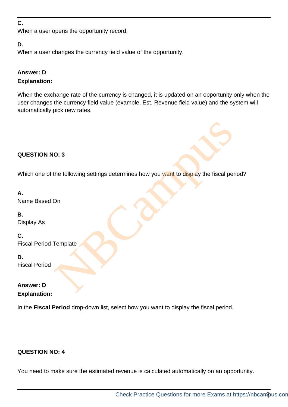#### **C.**

When a user opens the opportunity record.

#### **D.**

When a user changes the currency field value of the opportunity.

#### **Answer: D Explanation:**

When the exchange rate of the currency is changed, it is updated on an opportunity only when the user changes the currency field value (example, Est. Revenue field value) and the system will automatically pick new rates.

## **QUESTION NO: 3**

Which one of the following settings determines how you want to display the fiscal period? O: 3<br>the following settings determines how you want to display the fiscal per<br>On<br>Template

**A.**  Name Based On

**B.**  Display As

**C.**  Fiscal Period Template

**D.**  Fiscal Period

## **Answer: D Explanation:**

In the **Fiscal Period** drop-down list, select how you want to display the fiscal period.

#### **QUESTION NO: 4**

You need to make sure the estimated revenue is calculated automatically on an opportunity.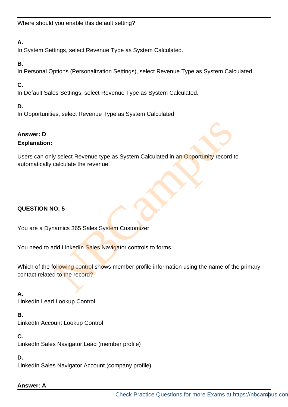## **A.**

In System Settings, select Revenue Type as System Calculated.

## **B.**

In Personal Options (Personalization Settings), select Revenue Type as System Calculated.

# **C.**

In Default Sales Settings, select Revenue Type as System Calculated.

## **D.**

In Opportunities, select Revenue Type as System Calculated.

## **Answer: D**

#### **Explanation:**

Users can only select Revenue type as System Calculated in an Opportunity record to automatically calculate the revenue. Select Revenue type as System Calculated in an Opportunity record<br>Calculate the revenue.<br>C: 5<br>amrics 365 Sales System Customizer.<br>Add Linkedin Sales Navigator controls to forms.<br>Collowing control shows member profile infor

## **QUESTION NO: 5**

You are a Dynamics 365 Sales System Customizer.

You need to add LinkedIn Sales Navigator controls to forms.

Which of the following control shows member profile information using the name of the primary contact related to the record?

## **A.**

LinkedIn Lead Lookup Control

**B.** 

LinkedIn Account Lookup Control

**C.**  LinkedIn Sales Navigator Lead (member profile)

**D.** 

LinkedIn Sales Navigator Account (company profile)

**Answer: A**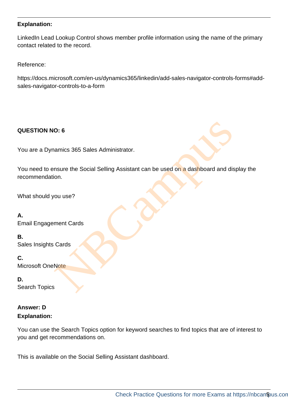#### **Explanation:**

LinkedIn Lead Lookup Control shows member profile information using the name of the primary contact related to the record.

Reference:

https://docs.microsoft.com/en-us/dynamics365/linkedin/add-sales-navigator-controls-forms#addsales-navigator-controls-to-a-form

#### **QUESTION NO: 6**

You are a Dynamics 365 Sales Administrator.

You need to ensure the Social Selling Assistant can be used on a dashboard and display the recommendation. O: 6<br>
namics 365 Sales Administrator.<br>
Insure the Social Selling Assistant can be used on a dashboard and dis<br>
nou use?<br>
Note<br>
Note

What should you use?

**A.**  Email Engagement Cards

**B.**  Sales Insights Cards

**C.**  Microsoft OneNote

**D.**  Search Topics

## **Answer: D Explanation:**

You can use the Search Topics option for keyword searches to find topics that are of interest to you and get recommendations on.

This is available on the Social Selling Assistant dashboard.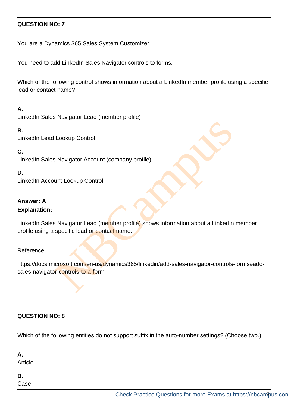#### **QUESTION NO: 7**

You are a Dynamics 365 Sales System Customizer.

You need to add LinkedIn Sales Navigator controls to forms.

Which of the following control shows information about a LinkedIn member profile using a specific lead or contact name?

#### **A.**

LinkedIn Sales Navigator Lead (member profile)

#### **B.**

LinkedIn Lead Lookup Control

**C.** 

LinkedIn Sales Navigator Account (company profile)

#### **D.**

LinkedIn Account Lookup Control

## **Answer: A**

#### **Explanation:**

LinkedIn Sales Navigator Lead (member profile) shows information about a LinkedIn member profile using a specific lead or contact name. I Lookup Control<br>
S Navigator Account (company profile)<br>
uunt Lookup Control<br>
S Navigator Lead (member profile)<br>
shows information about a LinkedIn<br>
specific lead or contract name.<br>
icrosoft.com/en-us/dynamics365/linkedin/

#### Reference:

https://docs.microsoft.com/en-us/dynamics365/linkedin/add-sales-navigator-controls-forms#addsales-navigator-controls-to-a-form

## **QUESTION NO: 8**

Which of the following entities do not support suffix in the auto-number settings? (Choose two.)

**A.** 

Article

**B.**  Case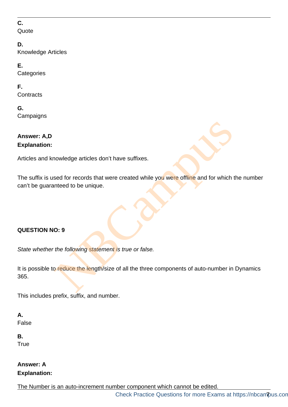## **C.**

**Quote** 

## **D.**

Knowledge Articles

## **E.**

**Categories** 

## **F.**

**Contracts** 

# **G.**

**Campaigns** 

# **Answer: A,D Explanation:**

Articles and knowledge articles don't have suffixes.

The suffix is used for records that were created while you were offline and for which the number can't be guaranteed to be unique. Nowledge articles don't have suffixes.<br>
Sed for records that were created while you were offline and for which<br>
Note the following statement is true or false.<br>
Or duce the length/size of all the three components of auto-nu

# **QUESTION NO: 9**

*State whether the following statement is true or false.*

It is possible to reduce the length/size of all the three components of auto-number in Dynamics 365.

This includes prefix, suffix, and number.

#### **A.**  False

**B. True** 

# **Answer: A Explanation:**

The Number is an auto-increment number component which cannot be edited.